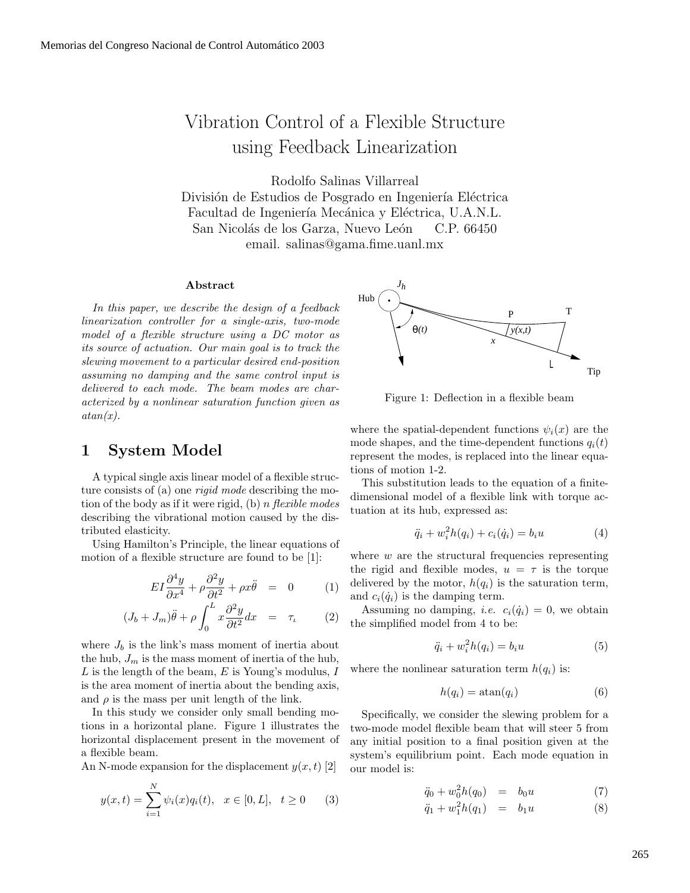# Vibration Control of a Flexible Structure using Feedback Linearization

Rodolfo Salinas Villarreal

División de Estudios de Posgrado en Ingeniería Eléctrica Facultad de Ingeniería Mecánica y Eléctrica, U.A.N.L. San Nicolás de los Garza, Nuevo León C.P. 66450 email. salinas@gama.fime.uanl.mx

#### **Abstract**

*In this paper, we describe the design of a feedback linearization controller for a single-axis, two-mode model of a flexible structure using a DC motor as its source of actuation. Our main goal is to track the slewing movement to a particular desired end-position assuming no damping and the same control input is delivered to each mode. The beam modes are characterized by a nonlinear saturation function given as atan(x).*

#### **1 System Model**

A typical single axis linear model of a flexible structure consists of (a) one *rigid mode* describing the motion of the body as if it were rigid, (b) n *flexible modes* describing the vibrational motion caused by the distributed elasticity.

Using Hamilton's Principle, the linear equations of motion of a flexible structure are found to be [1]:

$$
EI\frac{\partial^4 y}{\partial x^4} + \rho \frac{\partial^2 y}{\partial t^2} + \rho x \ddot{\theta} = 0 \qquad (1)
$$

$$
(J_b + J_m)\ddot{\theta} + \rho \int_0^L x \frac{\partial^2 y}{\partial t^2} dx = \tau_t \qquad (2)
$$

where  $J_b$  is the link's mass moment of inertia about the hub,  $J_m$  is the mass moment of inertia of the hub, L is the length of the beam, E is Young's modulus, I is the area moment of inertia about the bending axis, and  $\rho$  is the mass per unit length of the link.

In this study we consider only small bending motions in a horizontal plane. Figure 1 illustrates the horizontal displacement present in the movement of a flexible beam.

An N-mode expansion for the displacement  $y(x, t)$  [2]

$$
y(x,t) = \sum_{i=1}^{N} \psi_i(x) q_i(t), \quad x \in [0, L], \quad t \ge 0 \tag{3}
$$



Figure 1: Deflection in a flexible beam

where the spatial-dependent functions  $\psi_i(x)$  are the mode shapes, and the time-dependent functions  $q_i(t)$ represent the modes, is replaced into the linear equations of motion 1-2.

This substitution leads to the equation of a finitedimensional model of a flexible link with torque actuation at its hub, expressed as:

$$
\ddot{q}_i + w_i^2 h(q_i) + c_i(\dot{q}_i) = b_i u \tag{4}
$$

where  $w$  are the structural frequencies representing the rigid and flexible modes,  $u = \tau$  is the torque delivered by the motor,  $h(q_i)$  is the saturation term, and  $c_i(\dot{q}_i)$  is the damping term.

Assuming no damping, *i.e.*  $c_i(\dot{q}_i) = 0$ , we obtain the simplified model from 4 to be:

$$
\ddot{q}_i + w_i^2 h(q_i) = b_i u \tag{5}
$$

where the nonlinear saturation term  $h(q_i)$  is:

$$
h(q_i) = \operatorname{atan}(q_i) \tag{6}
$$

Specifically, we consider the slewing problem for a two-mode model flexible beam that will steer 5 from any initial position to a final position given at the system's equilibrium point. Each mode equation in our model is:

$$
\ddot{q}_0 + w_0^2 h(q_0) = b_0 u \tag{7}
$$

$$
\ddot{q}_1 + w_1^2 h(q_1) = b_1 u \tag{8}
$$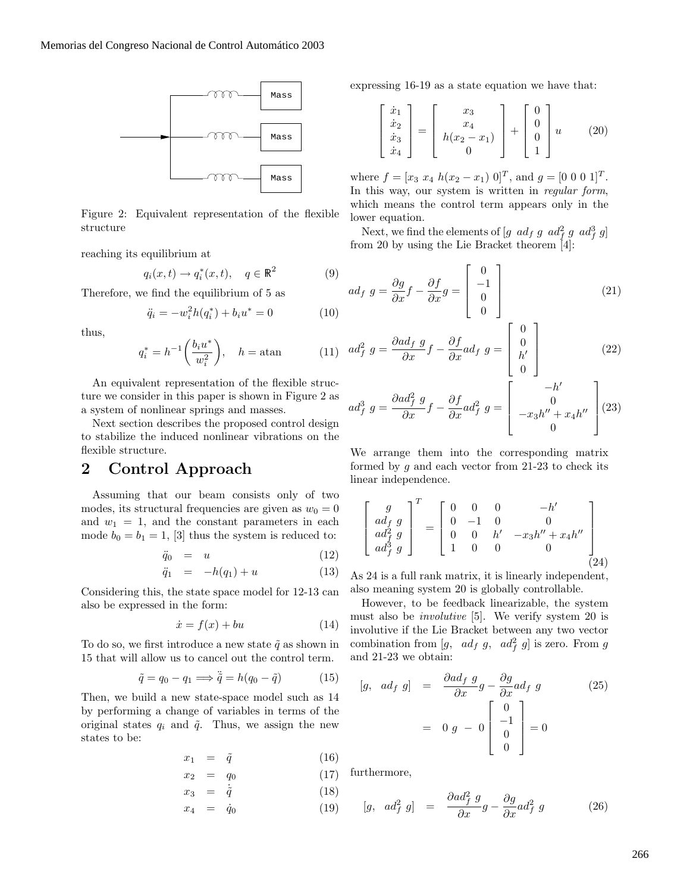

Figure 2: Equivalent representation of the flexible structure

reaching its equilibrium at

$$
q_i(x,t) \to q_i^*(x,t), \quad q \in \mathbb{R}^2 \tag{9}
$$

Therefore, we find the equilibrium of 5 as

$$
\ddot{q}_i = -w_i^2 h(q_i^*) + b_i u^* = 0 \tag{10}
$$

thus,

$$
q_i^* = h^{-1} \left( \frac{b_i u^*}{w_i^2} \right), \quad h = \text{atan}
$$
 (11)

An equivalent representation of the flexible structure we consider in this paper is shown in Figure 2 as a system of nonlinear springs and masses.

Next section describes the proposed control design to stabilize the induced nonlinear vibrations on the flexible structure.

## **2 Control Approach**

Assuming that our beam consists only of two modes, its structural frequencies are given as  $w_0 = 0$ and  $w_1 = 1$ , and the constant parameters in each mode  $b_0 = b_1 = 1$ , [3] thus the system is reduced to:

$$
\ddot{q}_0 = u \tag{12}
$$

$$
\ddot{q}_1 = -h(q_1) + u \tag{13}
$$

Considering this, the state space model for 12-13 can also be expressed in the form:

$$
\dot{x} = f(x) + bu \tag{14}
$$

To do so, we first introduce a new state  $\tilde{q}$  as shown in 15 that will allow us to cancel out the control term.

$$
\tilde{q} = q_0 - q_1 \Longrightarrow \ddot{\tilde{q}} = h(q_0 - \tilde{q}) \tag{15}
$$

Then, we build a new state-space model such as 14 by performing a change of variables in terms of the original states  $q_i$  and  $\tilde{q}$ . Thus, we assign the new states to be:

$$
x_1 = \tilde{q} \tag{16}
$$

$$
x_2 = q_0 \tag{17}
$$

$$
x_3 = \dot{\tilde{q}} \tag{18}
$$

$$
x_4 = \dot{q}_0 \tag{19}
$$

expressing 16-19 as a state equation we have that:

$$
\begin{bmatrix} \dot{x}_1 \\ \dot{x}_2 \\ \dot{x}_3 \\ \dot{x}_4 \end{bmatrix} = \begin{bmatrix} x_3 \\ x_4 \\ h(x_2 - x_1) \\ 0 \end{bmatrix} + \begin{bmatrix} 0 \\ 0 \\ 0 \\ 1 \end{bmatrix} u \qquad (20)
$$

where  $f = [x_3 \ x_4 \ h(x_2 - x_1) \ 0]^T$ , and  $g = [0 \ 0 \ 0 \ 1]^T$ . In this way, our system is written in *regular form*, which means the control term appears only in the lower equation.

Next, we find the elements of  $[g \text{ } ad_f \text{ } g \text{ } ad_f^2 \text{ } g \text{ } ad_f^3 \text{ } g]$ <br>on 20 by using the Lie Bracket theorem [4]. from 20 by using the Lie Bracket theorem [4]:

$$
ad_f \ g = \frac{\partial g}{\partial x} f - \frac{\partial f}{\partial x} g = \begin{bmatrix} 0 \\ -1 \\ 0 \\ 0 \end{bmatrix}
$$
 (21)

$$
ad_f^2 g = \frac{\partial ad_f g}{\partial x} f - \frac{\partial f}{\partial x} ad_f g = \begin{bmatrix} 0 \\ 0 \\ h' \\ 0 \end{bmatrix}
$$
 (22)

$$
ad_f^3 g = \frac{\partial ad_f^2 g}{\partial x} f - \frac{\partial f}{\partial x} ad_f^2 g = \begin{bmatrix} -h' \\ 0 \\ -x_3 h'' + x_4 h'' \\ 0 \end{bmatrix} (23)
$$

We arrange them into the corresponding matrix formed by  $g$  and each vector from 21-23 to check its linear independence.

$$
\begin{bmatrix} g \\ ad_f g \\ ad_f^2 g \\ ad_f^3 g \end{bmatrix}^T = \begin{bmatrix} 0 & 0 & 0 & -h' \\ 0 & -1 & 0 & 0 \\ 0 & 0 & h' & -x_3 h'' + x_4 h'' \\ 1 & 0 & 0 & 0 \end{bmatrix}
$$
(24)

As 24 is a full rank matrix, it is linearly independent, also meaning system 20 is globally controllable.

However, to be feedback linearizable, the system must also be *involutive* [5]. We verify system 20 is involutive if the Lie Bracket between any two vector combination from  $[g, ad_f g, ad_f^2 g]$  is zero. From g<br>and 21.23 we obtain: and 21-23 we obtain:

$$
[g, \, ad_f \, g] = \frac{\partial ad_f \, g}{\partial x} g - \frac{\partial g}{\partial x} ad_f \, g \tag{25}
$$
\n
$$
= 0 \, g - 0 \begin{bmatrix} 0 \\ -1 \\ 0 \\ 0 \end{bmatrix} = 0
$$

furthermore,

$$
[g, \, ad_f^2 \, g] \quad = \quad \frac{\partial ad_f^2 \, g}{\partial x} g - \frac{\partial g}{\partial x} ad_f^2 \, g \tag{26}
$$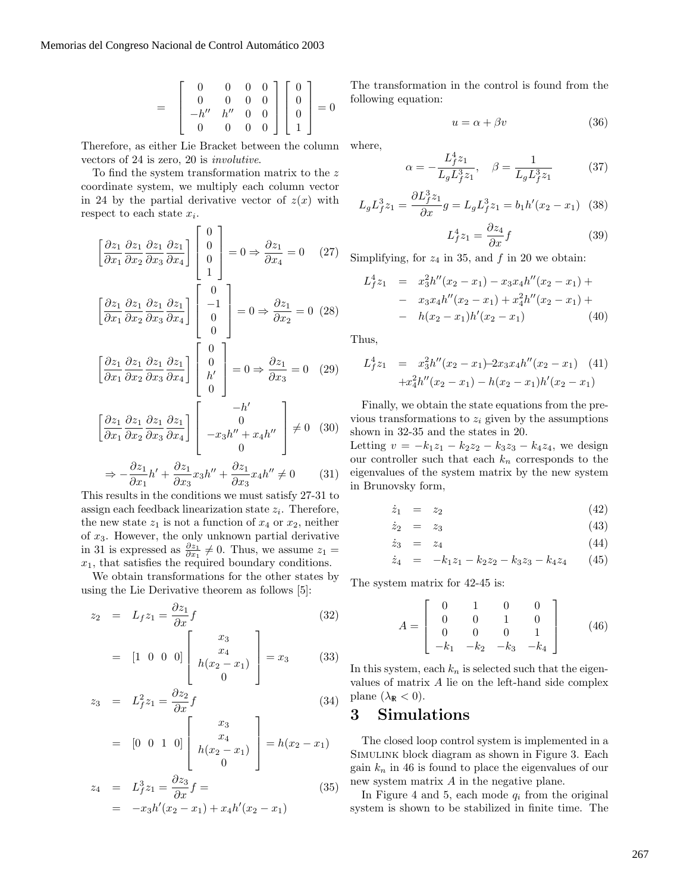$$
= \begin{bmatrix} 0 & 0 & 0 & 0 \\ 0 & 0 & 0 & 0 \\ -h'' & h'' & 0 & 0 \\ 0 & 0 & 0 & 0 \end{bmatrix} \begin{bmatrix} 0 \\ 0 \\ 0 \\ 1 \end{bmatrix} = 0
$$

Therefore, as either Lie Bracket between the column vectors of 24 is zero, 20 is *involutive*.

To find the system transformation matrix to the z coordinate system, we multiply each column vector in 24 by the partial derivative vector of  $z(x)$  with respect to each state  $x_i$ .

$$
\begin{bmatrix}\n\frac{\partial z_1}{\partial x_1} & \frac{\partial z_1}{\partial x_2} & \frac{\partial z_1}{\partial x_3} & \frac{\partial z_1}{\partial x_4}\n\end{bmatrix}\n\begin{bmatrix}\n0 \\
0 \\
0 \\
1\n\end{bmatrix} = 0 \Rightarrow \frac{\partial z_1}{\partial x_4} = 0 \quad (27)
$$
\n
$$
\begin{bmatrix}\n\frac{\partial z_1}{\partial x_1} & \frac{\partial z_1}{\partial x_2} & \frac{\partial z_1}{\partial x_3} & \frac{\partial z_1}{\partial x_4}\n\end{bmatrix}\n\begin{bmatrix}\n0 \\
-1 \\
0 \\
0\n\end{bmatrix} = 0 \Rightarrow \frac{\partial z_1}{\partial x_2} = 0 \quad (28)
$$
\n
$$
\begin{bmatrix}\n\frac{\partial z_1}{\partial x_1} & \frac{\partial z_1}{\partial x_2} & \frac{\partial z_1}{\partial x_3} & \frac{\partial z_1}{\partial x_4}\n\end{bmatrix}\n\begin{bmatrix}\n0 \\
0 \\
h' \\
0\n\end{bmatrix} = 0 \Rightarrow \frac{\partial z_1}{\partial x_3} = 0 \quad (29)
$$
\n
$$
\begin{bmatrix}\n\frac{\partial z_1}{\partial x_1} & \frac{\partial z_1}{\partial x_2} & \frac{\partial z_1}{\partial x_3} & \frac{\partial z_1}{\partial x_4}\n\end{bmatrix}\n\begin{bmatrix}\n-h' \\
0 \\
-g_3 h'' + x_4 h'' \\
0\n\end{bmatrix} \neq 0 \quad (30)
$$

$$
\Rightarrow -\frac{\partial z_1}{\partial x_1}h' + \frac{\partial z_1}{\partial x_3}x_3h'' + \frac{\partial z_1}{\partial x_3}x_4h'' \neq 0 \tag{31}
$$

This results in the conditions we must satisfy 27-31 to assign each feedback linearization state  $z_i$ . Therefore, the new state  $z_1$  is not a function of  $x_4$  or  $x_2$ , neither of  $x_3$ . However, the only unknown partial derivative in 31 is expressed as  $\frac{\partial z_1}{\partial x_1} \neq 0$ . Thus, we assume  $z_1 = r_1$ , that satisfies the required boundary conditions  $x_1$ , that satisfies the required boundary conditions.

We obtain transformations for the other states by using the Lie Derivative theorem as follows [5]:

$$
z_2 = L_f z_1 = \frac{\partial z_1}{\partial x} f \tag{32}
$$

$$
= [1 \ 0 \ 0 \ 0] \begin{bmatrix} x_3 \\ x_4 \\ h(x_2 - x_1) \\ 0 \end{bmatrix} = x_3 \qquad (33)
$$

$$
z_3 = L_f^2 z_1 = \frac{\partial z_2}{\partial x} f \tag{34}
$$

$$
= [0 \ 0 \ 1 \ 0] \left[\begin{array}{c} x_3 \\ x_4 \\ h(x_2 - x_1) \\ 0 \end{array}\right] = h(x_2 - x_1)
$$

$$
z_4 = L_f^3 z_1 = \frac{\partial z_3}{\partial x} f =
$$
  
=  $-x_3 h'(x_2 - x_1) + x_4 h'(x_2 - x_1)$  (35)

The transformation in the control is found from the following equation:

$$
u = \alpha + \beta v \tag{36}
$$

where,

$$
\alpha = -\frac{L_f^4 z_1}{L_g L_f^3 z_1}, \quad \beta = \frac{1}{L_g L_f^3 z_1} \tag{37}
$$

$$
L_g L_f^3 z_1 = \frac{\partial L_f^3 z_1}{\partial x} g = L_g L_f^3 z_1 = b_1 h'(x_2 - x_1) \tag{38}
$$

$$
L_f^4 z_1 = \frac{\partial z_4}{\partial x} f \tag{39}
$$

Simplifying, for  $z_4$  in 35, and f in 20 we obtain:

$$
L_f^4 z_1 = x_3^2 h''(x_2 - x_1) - x_3 x_4 h''(x_2 - x_1) +
$$
  
- 
$$
x_3 x_4 h''(x_2 - x_1) + x_4^2 h''(x_2 - x_1) +
$$
  
- 
$$
h(x_2 - x_1) h'(x_2 - x_1)
$$
 (40)

Thus,

$$
L_f^4 z_1 = x_3^2 h''(x_2 - x_1) - 2x_3 x_4 h''(x_2 - x_1)
$$
 (41)  
+
$$
x_4^2 h''(x_2 - x_1) - h(x_2 - x_1) h'(x_2 - x_1)
$$

Finally, we obtain the state equations from the previous transformations to  $z_i$  given by the assumptions shown in 32-35 and the states in 20.

Letting  $v = -k_1z_1 - k_2z_2 - k_3z_3 - k_4z_4$ , we design our controller such that each  $k_n$  corresponds to the eigenvalues of the system matrix by the new system in Brunovsky form,

$$
\dot{z}_1 = z_2 \tag{42}
$$

$$
\dot{z}_2 = z_3 \tag{43}
$$

$$
\dot{z}_3 = z_4 \tag{44}
$$

$$
\dot{z}_4 = -k_1 z_1 - k_2 z_2 - k_3 z_3 - k_4 z_4 \qquad (45)
$$

The system matrix for 42-45 is:

$$
A = \begin{bmatrix} 0 & 1 & 0 & 0 \\ 0 & 0 & 1 & 0 \\ 0 & 0 & 0 & 1 \\ -k_1 & -k_2 & -k_3 & -k_4 \end{bmatrix}
$$
 (46)

In this system, each  $k_n$  is selected such that the eigenvalues of matrix A lie on the left-hand side complex plane  $(\lambda_{\mathbb{R}} < 0)$ .

## **3 Simulations**

The closed loop control system is implemented in a SIMULINK block diagram as shown in Figure 3. Each gain  $k_n$  in 46 is found to place the eigenvalues of our new system matrix A in the negative plane.

In Figure 4 and 5, each mode  $q_i$  from the original system is shown to be stabilized in finite time. The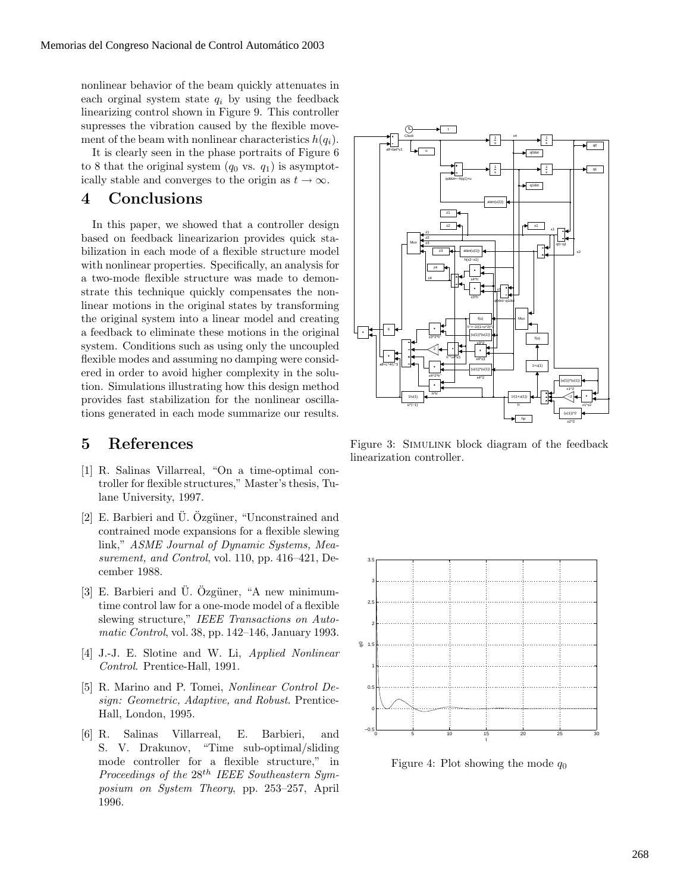nonlinear behavior of the beam quickly attenuates in each orginal system state  $q_i$  by using the feedback linearizing control shown in Figure 9. This controller supresses the vibration caused by the flexible movement of the beam with nonlinear characteristics  $h(q_i)$ .

It is clearly seen in the phase portraits of Figure 6 to 8 that the original system  $(q_0 \text{ vs. } q_1)$  is asymptotically stable and converges to the origin as  $t \to \infty$ .

#### **4 Conclusions**

In this paper, we showed that a controller design based on feedback linearizarion provides quick stabilization in each mode of a flexible structure model with nonlinear properties. Specifically, an analysis for a two-mode flexible structure was made to demonstrate this technique quickly compensates the nonlinear motions in the original states by transforming the original system into a linear model and creating a feedback to eliminate these motions in the original system. Conditions such as using only the uncoupled flexible modes and assuming no damping were considered in order to avoid higher complexity in the solution. Simulations illustrating how this design method provides fast stabilization for the nonlinear oscillations generated in each mode summarize our results.

### **5 References**

- [1] R. Salinas Villarreal, "On a time-optimal controller for flexible structures," Master's thesis, Tulane University, 1997.
- $[2]$  E. Barbieri and  $\overline{U}$ . Ozgüner, "Unconstrained and contrained mode expansions for a flexible slewing link," *ASME Journal of Dynamic Systems, Measurement, and Control*, vol. 110, pp. 416–421, December 1988.
- $[3]$  E. Barbieri and  $\overline{U}$ . Özgüner, "A new minimumtime control law for a one-mode model of a flexible slewing structure," *IEEE Transactions on Automatic Control*, vol. 38, pp. 142–146, January 1993.
- [4] J.-J. E. Slotine and W. Li, *Applied Nonlinear Control*. Prentice-Hall, 1991.
- [5] R. Marino and P. Tomei, *Nonlinear Control Design: Geometric, Adaptive, and Robust*. Prentice-Hall, London, 1995.
- [6] R. Salinas Villarreal, E. Barbieri, and S. V. Drakunov, "Time sub-optimal/sliding mode controller for a flexible structure," in *Proceedings of the* 28th *IEEE Southeastern Symposium on System Theory*, pp. 253–257, April 1996.



Figure 3: Simulink block diagram of the feedback linearization controller.



Figure 4: Plot showing the mode  $q_0$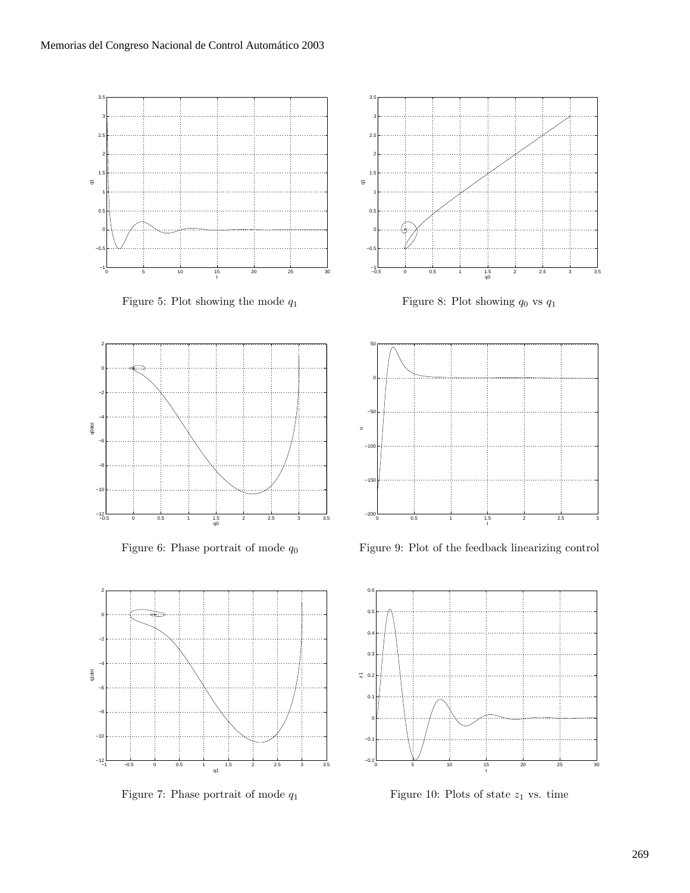

Figure 5: Plot showing the mode  $q_1$ 



Figure 6: Phase portrait of mode  $q_0$ 



Figure 7: Phase portrait of mode  $q_1$ 



Figure 8: Plot showing  $q_0$  vs  $q_1$ 



Figure 9: Plot of the feedback linearizing control



Figure 10: Plots of state  $z_1$  vs. time